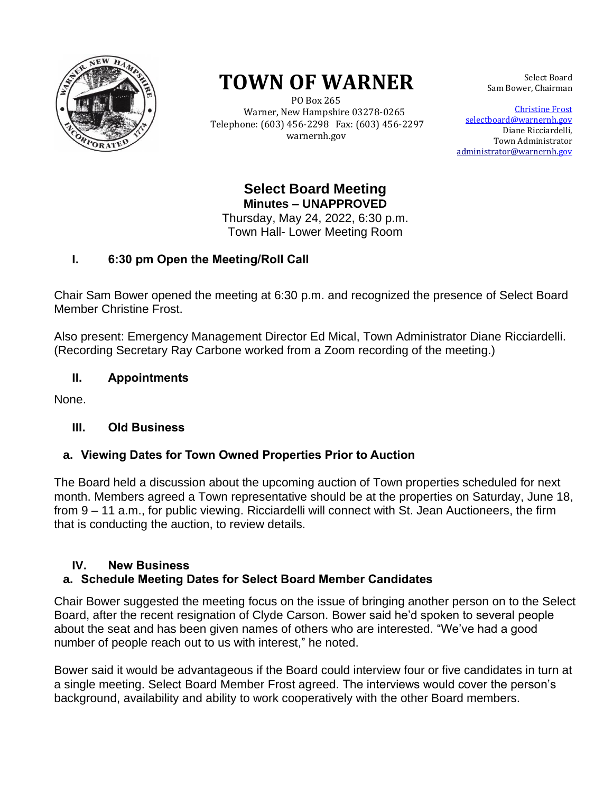

# **TOWN OF WARNER**

 PO Box 265 Warner, New Hampshire 03278-0265 Telephone: (603) 456-2298 Fax: (603) 456-2297 warnernh.gov

Select Board Sam Bower, Chairman

Christine Frost selectboard@warnernh.gov Diane Ricciardelli, Town Administrator [administrator@warnernh.g](mailto:administrator@warnernh.)ov

**Select Board Meeting Minutes – UNAPPROVED** 

Thursday, May 24, 2022, 6:30 p.m. Town Hall- Lower Meeting Room

# **I. 6:30 pm Open the Meeting/Roll Call**

Chair Sam Bower opened the meeting at 6:30 p.m. and recognized the presence of Select Board Member Christine Frost.

Also present: Emergency Management Director Ed Mical, Town Administrator Diane Ricciardelli. (Recording Secretary Ray Carbone worked from a Zoom recording of the meeting.)

# **II. Appointments**

None.

# **III. Old Business**

# **a. Viewing Dates for Town Owned Properties Prior to Auction**

The Board held a discussion about the upcoming auction of Town properties scheduled for next month. Members agreed a Town representative should be at the properties on Saturday, June 18, from 9 – 11 a.m., for public viewing. Ricciardelli will connect with St. Jean Auctioneers, the firm that is conducting the auction, to review details.

### **IV. New Business a. Schedule Meeting Dates for Select Board Member Candidates**

Chair Bower suggested the meeting focus on the issue of bringing another person on to the Select Board, after the recent resignation of Clyde Carson. Bower said he'd spoken to several people about the seat and has been given names of others who are interested. "We've had a good number of people reach out to us with interest," he noted.

Bower said it would be advantageous if the Board could interview four or five candidates in turn at a single meeting. Select Board Member Frost agreed. The interviews would cover the person's background, availability and ability to work cooperatively with the other Board members.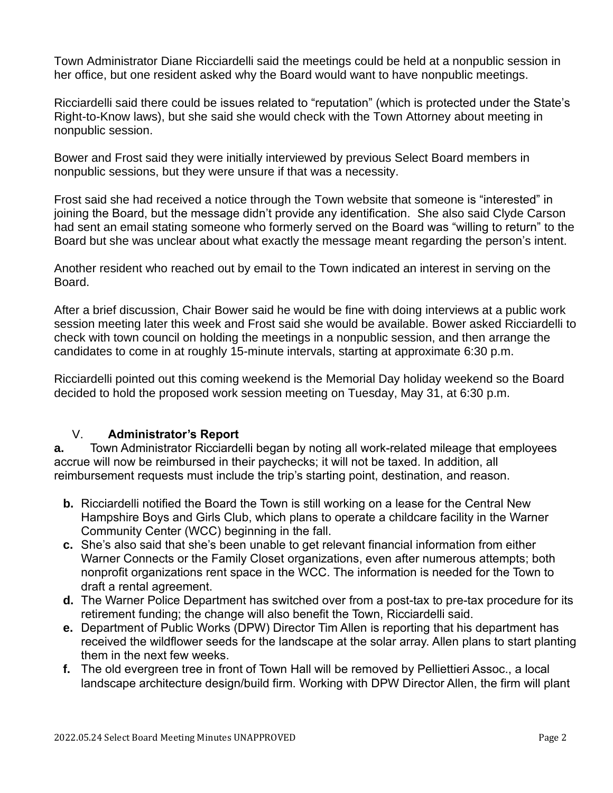Town Administrator Diane Ricciardelli said the meetings could be held at a nonpublic session in her office, but one resident asked why the Board would want to have nonpublic meetings.

Ricciardelli said there could be issues related to "reputation" (which is protected under the State's Right-to-Know laws), but she said she would check with the Town Attorney about meeting in nonpublic session.

Bower and Frost said they were initially interviewed by previous Select Board members in nonpublic sessions, but they were unsure if that was a necessity.

Frost said she had received a notice through the Town website that someone is "interested" in joining the Board, but the message didn't provide any identification. She also said Clyde Carson had sent an email stating someone who formerly served on the Board was "willing to return" to the Board but she was unclear about what exactly the message meant regarding the person's intent.

Another resident who reached out by email to the Town indicated an interest in serving on the Board.

After a brief discussion, Chair Bower said he would be fine with doing interviews at a public work session meeting later this week and Frost said she would be available. Bower asked Ricciardelli to check with town council on holding the meetings in a nonpublic session, and then arrange the candidates to come in at roughly 15-minute intervals, starting at approximate 6:30 p.m.

Ricciardelli pointed out this coming weekend is the Memorial Day holiday weekend so the Board decided to hold the proposed work session meeting on Tuesday, May 31, at 6:30 p.m.

# V. **Administrator's Report**

**a.** Town Administrator Ricciardelli began by noting all work-related mileage that employees accrue will now be reimbursed in their paychecks; it will not be taxed. In addition, all reimbursement requests must include the trip's starting point, destination, and reason.

- **b.** Ricciardelli notified the Board the Town is still working on a lease for the Central New Hampshire Boys and Girls Club, which plans to operate a childcare facility in the Warner Community Center (WCC) beginning in the fall.
- **c.** She's also said that she's been unable to get relevant financial information from either Warner Connects or the Family Closet organizations, even after numerous attempts; both nonprofit organizations rent space in the WCC. The information is needed for the Town to draft a rental agreement.
- **d.** The Warner Police Department has switched over from a post-tax to pre-tax procedure for its retirement funding; the change will also benefit the Town, Ricciardelli said.
- **e.** Department of Public Works (DPW) Director Tim Allen is reporting that his department has received the wildflower seeds for the landscape at the solar array. Allen plans to start planting them in the next few weeks.
- **f.** The old evergreen tree in front of Town Hall will be removed by Pelliettieri Assoc., a local landscape architecture design/build firm. Working with DPW Director Allen, the firm will plant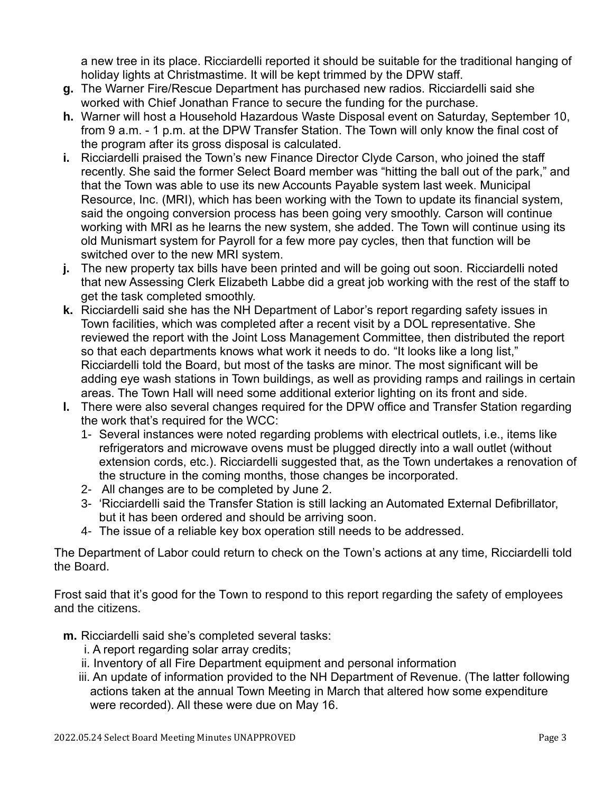a new tree in its place. Ricciardelli reported it should be suitable for the traditional hanging of holiday lights at Christmastime. It will be kept trimmed by the DPW staff.

- **g.** The Warner Fire/Rescue Department has purchased new radios. Ricciardelli said she worked with Chief Jonathan France to secure the funding for the purchase.
- **h.** Warner will host a Household Hazardous Waste Disposal event on Saturday, September 10, from 9 a.m. - 1 p.m. at the DPW Transfer Station. The Town will only know the final cost of the program after its gross disposal is calculated.
- **i.** Ricciardelli praised the Town's new Finance Director Clyde Carson, who joined the staff recently. She said the former Select Board member was "hitting the ball out of the park," and that the Town was able to use its new Accounts Payable system last week. Municipal Resource, Inc. (MRI), which has been working with the Town to update its financial system, said the ongoing conversion process has been going very smoothly. Carson will continue working with MRI as he learns the new system, she added. The Town will continue using its old Munismart system for Payroll for a few more pay cycles, then that function will be switched over to the new MRI system.
- **j.** The new property tax bills have been printed and will be going out soon. Ricciardelli noted that new Assessing Clerk Elizabeth Labbe did a great job working with the rest of the staff to get the task completed smoothly.
- **k.** Ricciardelli said she has the NH Department of Labor's report regarding safety issues in Town facilities, which was completed after a recent visit by a DOL representative. She reviewed the report with the Joint Loss Management Committee, then distributed the report so that each departments knows what work it needs to do. "It looks like a long list," Ricciardelli told the Board, but most of the tasks are minor. The most significant will be adding eye wash stations in Town buildings, as well as providing ramps and railings in certain areas. The Town Hall will need some additional exterior lighting on its front and side.
- **l.** There were also several changes required for the DPW office and Transfer Station regarding the work that's required for the WCC:
	- 1- Several instances were noted regarding problems with electrical outlets, i.e., items like refrigerators and microwave ovens must be plugged directly into a wall outlet (without extension cords, etc.). Ricciardelli suggested that, as the Town undertakes a renovation of the structure in the coming months, those changes be incorporated.
	- 2- All changes are to be completed by June 2.
	- 3- 'Ricciardelli said the Transfer Station is still lacking an Automated External Defibrillator, but it has been ordered and should be arriving soon.
	- 4- The issue of a reliable key box operation still needs to be addressed.

The Department of Labor could return to check on the Town's actions at any time, Ricciardelli told the Board.

Frost said that it's good for the Town to respond to this report regarding the safety of employees and the citizens.

- **m.** Ricciardelli said she's completed several tasks:
	- i. A report regarding solar array credits;
	- ii. Inventory of all Fire Department equipment and personal information
	- iii. An update of information provided to the NH Department of Revenue. (The latter following actions taken at the annual Town Meeting in March that altered how some expenditure were recorded). All these were due on May 16.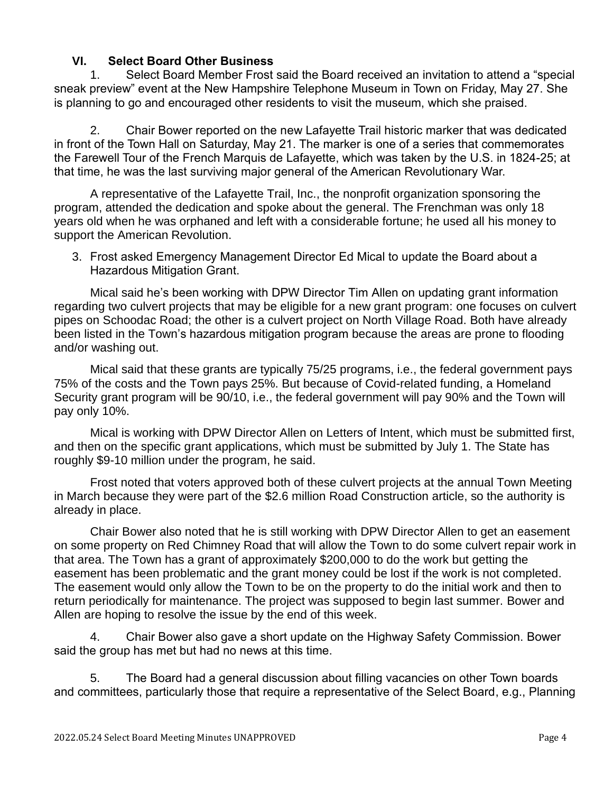# **VI. Select Board Other Business**

1. Select Board Member Frost said the Board received an invitation to attend a "special sneak preview" event at the New Hampshire Telephone Museum in Town on Friday, May 27. She is planning to go and encouraged other residents to visit the museum, which she praised.

2. Chair Bower reported on the new Lafayette Trail historic marker that was dedicated in front of the Town Hall on Saturday, May 21. The marker is one of a series that commemorates the Farewell Tour of the French Marquis de Lafayette, which was taken by the U.S. in 1824-25; at that time, he was the last surviving major general of the American Revolutionary War.

A representative of the Lafayette Trail, Inc., the nonprofit organization sponsoring the program, attended the dedication and spoke about the general. The Frenchman was only 18 years old when he was orphaned and left with a considerable fortune; he used all his money to support the American Revolution.

3. Frost asked Emergency Management Director Ed Mical to update the Board about a Hazardous Mitigation Grant.

Mical said he's been working with DPW Director Tim Allen on updating grant information regarding two culvert projects that may be eligible for a new grant program: one focuses on culvert pipes on Schoodac Road; the other is a culvert project on North Village Road. Both have already been listed in the Town's hazardous mitigation program because the areas are prone to flooding and/or washing out.

Mical said that these grants are typically 75/25 programs, i.e., the federal government pays 75% of the costs and the Town pays 25%. But because of Covid-related funding, a Homeland Security grant program will be 90/10, i.e., the federal government will pay 90% and the Town will pay only 10%.

Mical is working with DPW Director Allen on Letters of Intent, which must be submitted first, and then on the specific grant applications, which must be submitted by July 1. The State has roughly \$9-10 million under the program, he said.

Frost noted that voters approved both of these culvert projects at the annual Town Meeting in March because they were part of the \$2.6 million Road Construction article, so the authority is already in place.

Chair Bower also noted that he is still working with DPW Director Allen to get an easement on some property on Red Chimney Road that will allow the Town to do some culvert repair work in that area. The Town has a grant of approximately \$200,000 to do the work but getting the easement has been problematic and the grant money could be lost if the work is not completed. The easement would only allow the Town to be on the property to do the initial work and then to return periodically for maintenance. The project was supposed to begin last summer. Bower and Allen are hoping to resolve the issue by the end of this week.

4. Chair Bower also gave a short update on the Highway Safety Commission. Bower said the group has met but had no news at this time.

5. The Board had a general discussion about filling vacancies on other Town boards and committees, particularly those that require a representative of the Select Board, e.g., Planning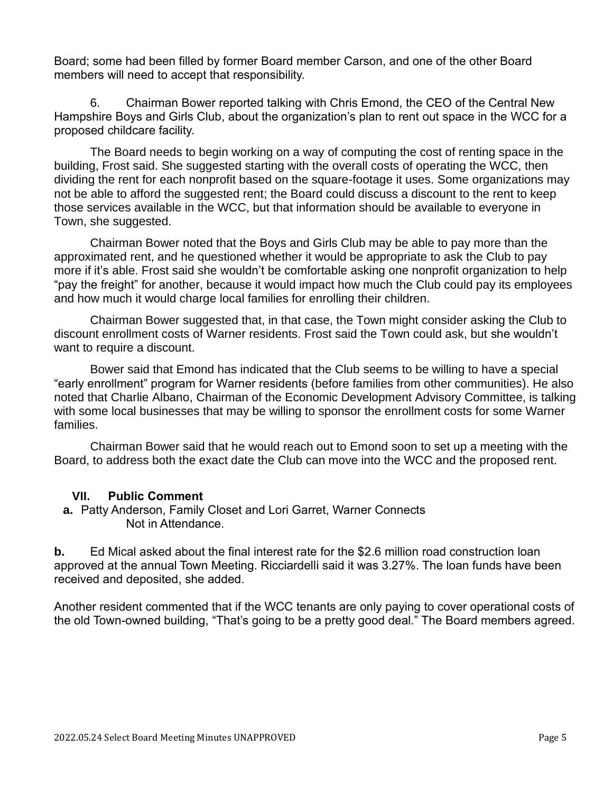Board; some had been filled by former Board member Carson, and one of the other Board members will need to accept that responsibility.

6. Chairman Bower reported talking with Chris Emond, the CEO of the Central New Hampshire Boys and Girls Club, about the organization's plan to rent out space in the WCC for a proposed childcare facility.

The Board needs to begin working on a way of computing the cost of renting space in the building, Frost said. She suggested starting with the overall costs of operating the WCC, then dividing the rent for each nonprofit based on the square-footage it uses. Some organizations may not be able to afford the suggested rent; the Board could discuss a discount to the rent to keep those services available in the WCC, but that information should be available to everyone in Town, she suggested.

Chairman Bower noted that the Boys and Girls Club may be able to pay more than the approximated rent, and he questioned whether it would be appropriate to ask the Club to pay more if it's able. Frost said she wouldn't be comfortable asking one nonprofit organization to help "pay the freight" for another, because it would impact how much the Club could pay its employees and how much it would charge local families for enrolling their children.

Chairman Bower suggested that, in that case, the Town might consider asking the Club to discount enrollment costs of Warner residents. Frost said the Town could ask, but she wouldn't want to require a discount.

Bower said that Emond has indicated that the Club seems to be willing to have a special "early enrollment" program for Warner residents (before families from other communities). He also noted that Charlie Albano, Chairman of the Economic Development Advisory Committee, is talking with some local businesses that may be willing to sponsor the enrollment costs for some Warner families.

Chairman Bower said that he would reach out to Emond soon to set up a meeting with the Board, to address both the exact date the Club can move into the WCC and the proposed rent.

### **VII. Public Comment**

**a.** Patty Anderson, Family Closet and Lori Garret, Warner Connects Not in Attendance.

**b.** Ed Mical asked about the final interest rate for the \$2.6 million road construction loan approved at the annual Town Meeting. Ricciardelli said it was 3.27%. The loan funds have been received and deposited, she added.

Another resident commented that if the WCC tenants are only paying to cover operational costs of the old Town-owned building, "That's going to be a pretty good deal." The Board members agreed.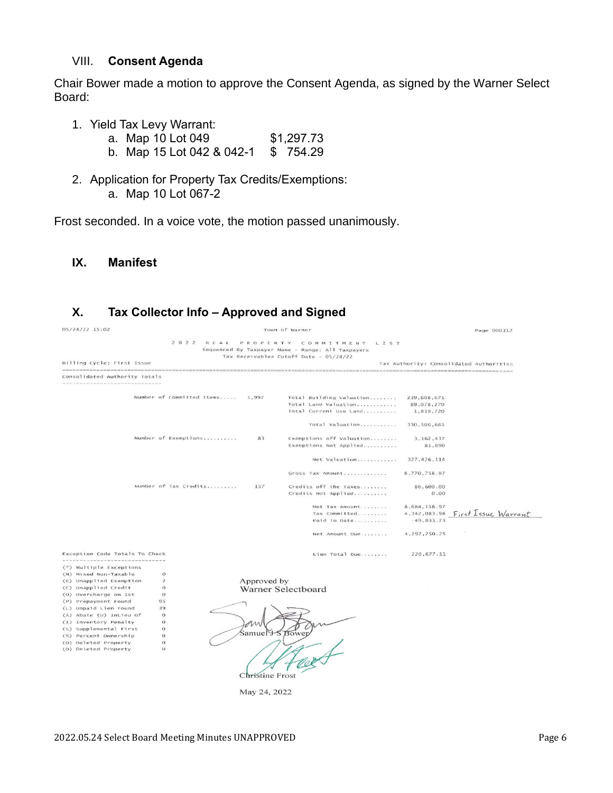#### VIII. **Consent Agenda**

Chair Bower made a motion to approve the Consent Agenda, as signed by the Warner Select Board:

- 1. Yield Tax Levy Warrant:
	- a. Map 10 Lot 049 \$1,297.73
	- b. Map 15 Lot 042 & 042-1 \$ 754.29
- 2. Application for Property Tax Credits/Exemptions: a. Map 10 Lot 067-2

Frost seconded. In a voice vote, the motion passed unanimously.

#### **IX. Manifest**

# **X. Tax Collector Info – Approved and Signed**

| 05/24/22 15:02                                                                                                                             |                | Town of Warner            |             |                                                  |                         | Page 000312                             |
|--------------------------------------------------------------------------------------------------------------------------------------------|----------------|---------------------------|-------------|--------------------------------------------------|-------------------------|-----------------------------------------|
| 2 0 2 2<br>REAL<br>PROPERTY COMMITMENT LIST<br>Sequenced By Taxpayer Name - Range: All Taxpayers<br>Tax Receivables Cutoff Date - 05/24/22 |                |                           |             |                                                  |                         |                                         |
| Billing Cycle: First Issue                                                                                                                 |                |                           |             |                                                  |                         | Tax Authority: Consolidated Authorities |
| Consolidated Authority Totals                                                                                                              |                |                           |             |                                                  |                         |                                         |
|                                                                                                                                            |                |                           |             |                                                  |                         |                                         |
|                                                                                                                                            |                | Number of Committed Items | 1.997       | Total Building Valuation<br>Total Land Valuation | 239,608,671             |                                         |
|                                                                                                                                            |                |                           |             | Total Current Use Land                           | 89,078,270<br>1,819,720 |                                         |
|                                                                                                                                            |                |                           |             |                                                  |                         |                                         |
|                                                                                                                                            |                |                           |             | Total Valuation                                  | 330, 506, 661           |                                         |
|                                                                                                                                            |                | Number of Exemptions      | 83          | Exemptions off Valuation                         | 3, 162, 437             |                                         |
|                                                                                                                                            |                |                           |             | Exemptions Not Applied                           | 81,890                  |                                         |
|                                                                                                                                            |                |                           |             |                                                  |                         |                                         |
|                                                                                                                                            |                |                           |             | Net Valuation                                    | 327, 426, 114           |                                         |
|                                                                                                                                            |                |                           |             | Gross Tax Amount                                 | 8,770,758.97            |                                         |
|                                                                                                                                            |                | Number of Tax Credits     | 157         | Credits off the Taxes                            | 86,600.00               |                                         |
|                                                                                                                                            |                |                           |             | Credits Not Applied                              | 0.00                    |                                         |
|                                                                                                                                            |                |                           |             |                                                  |                         |                                         |
|                                                                                                                                            |                |                           |             | Net Tax Amount                                   | 8,684,158.97            |                                         |
|                                                                                                                                            |                |                           |             | Tax Committed                                    | 4, 342, 083.98          | First Issue Warrant                     |
|                                                                                                                                            |                |                           |             | Paid To Date                                     | $-49,833.73$            |                                         |
|                                                                                                                                            |                |                           |             | Net Amount Due                                   | 4,292,250.25            |                                         |
| Exception Code Totals To Check                                                                                                             |                |                           |             | Lien Total Due                                   | 220, 677.11             |                                         |
| (*) Multiple Exceptions                                                                                                                    |                |                           |             |                                                  |                         |                                         |
| (N) Mixed Non-Taxable                                                                                                                      | $\circ$        |                           |             |                                                  |                         |                                         |
| (E) Unapplied Exemption                                                                                                                    | $\overline{2}$ |                           | Approved by |                                                  |                         |                                         |
| (C) Unapplied Credit                                                                                                                       | $\Omega$       |                           |             | Warner Selectboard                               |                         |                                         |
| (0) Overcharge on 1st                                                                                                                      | $\circ$        |                           |             |                                                  |                         |                                         |
| (P) Prepayment Found                                                                                                                       | 95             |                           |             |                                                  |                         |                                         |
| (L) Unpaid Lien Found                                                                                                                      | 39             |                           |             |                                                  |                         |                                         |
| (A) Abate (U) InLieu Of                                                                                                                    | $\circ$        |                           |             |                                                  |                         |                                         |
| (I) Inventory Penalty                                                                                                                      | $\circ$        |                           | n           |                                                  |                         |                                         |
| (S) Supplemental First                                                                                                                     | $\circ$        |                           |             |                                                  |                         |                                         |
| (%) Percent Ownership                                                                                                                      | $\theta$       |                           |             | Samuel + S Bower                                 |                         |                                         |
| (D) Deleted Property                                                                                                                       | $\circ$        |                           |             |                                                  |                         |                                         |
| (D) Deleted Property                                                                                                                       | $\Omega$       |                           |             |                                                  |                         |                                         |

Christine Frost May 24, 2022